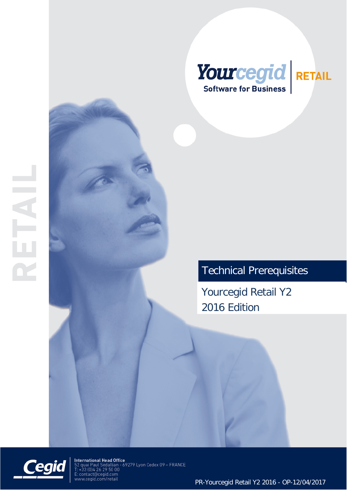

# Technical Prerequisites

Yourcegid Retail Y2 2016 Edition



 $\overline{1}$ 

International Head Office<br>52 quai Paul Sédallian - 69279 Lyon Cedex 09 – FRANCE<br>T: +33 (0)4 26 29 50 00 : : contact@cegid.com<br>: contact@cegid.com<br>ww.cegid.com/retail

PR-Yourcegid Retail Y2 2016 - OP-12/04/2017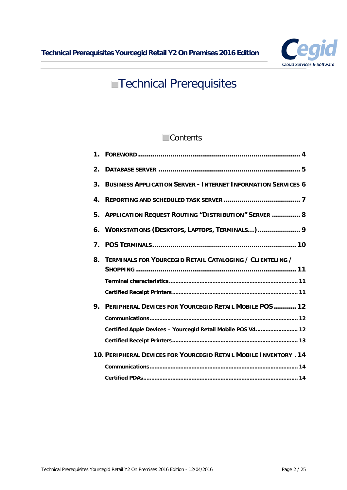

# **Technical Prerequisites**

# **Contents**

| $\mathbf 1$ .  |                                                                      |
|----------------|----------------------------------------------------------------------|
| 2 <sub>1</sub> |                                                                      |
| 3.             | <b>BUSINESS APPLICATION SERVER - INTERNET INFORMATION SERVICES 6</b> |
| 4.             |                                                                      |
| 5.             | <b>APPLICATION REQUEST ROUTING "DISTRIBUTION" SERVER  8</b>          |
| 6.             | WORKSTATIONS (DESKTOPS, LAPTOPS, TERMINALS) 9                        |
| 7              |                                                                      |
|                | 8. TERMINALS FOR YOURCEGID RETAIL CATALOGING / CLIENTELING /         |
|                |                                                                      |
|                |                                                                      |
| 9.             | <b>PERIPHERAL DEVICES FOR YOURCEGID RETAIL MOBILE POS  12</b>        |
|                |                                                                      |
|                | Certified Apple Devices - Yourcegid Retail Mobile POS V4 12          |
|                |                                                                      |
|                | 10. PERIPHERAL DEVICES FOR YOURCEGID RETAIL MOBILE INVENTORY . 14    |
|                |                                                                      |
|                |                                                                      |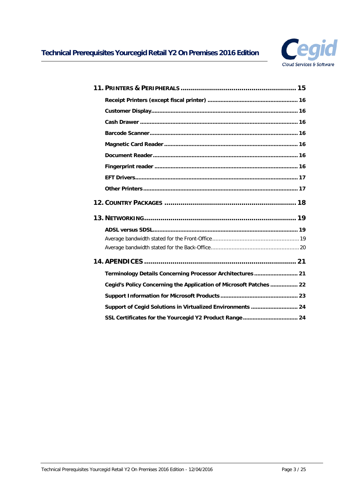

| Terminology Details Concerning Processor Architectures  21         |  |
|--------------------------------------------------------------------|--|
| Cegid's Policy Concerning the Application of Microsoft Patches  22 |  |
|                                                                    |  |
| Support of Cegid Solutions in Virtualized Environments  24         |  |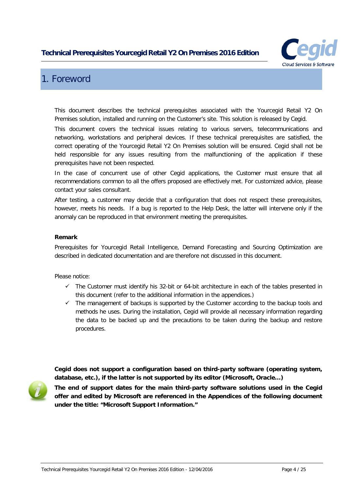

# <span id="page-3-0"></span>1. Foreword

This document describes the technical prerequisites associated with the Yourcegid Retail Y2 On Premises solution, installed and running on the Customer's site. This solution is released by Cegid.

This document covers the technical issues relating to various servers, telecommunications and networking, workstations and peripheral devices. If these technical prerequisites are satisfied, the correct operating of the Yourcegid Retail Y2 On Premises solution will be ensured. Cegid shall not be held responsible for any issues resulting from the malfunctioning of the application if these prerequisites have not been respected.

In the case of concurrent use of other Cegid applications, the Customer must ensure that all recommendations common to all the offers proposed are effectively met. For customized advice, please contact your sales consultant.

After testing, a customer may decide that a configuration that does not respect these prerequisites, however, meets his needs. If a bug is reported to the Help Desk, the latter will intervene only if the anomaly can be reproduced in that environment meeting the prerequisites.

#### **Remark**

Prerequisites for Yourcegid Retail Intelligence, Demand Forecasting and Sourcing Optimization are described in dedicated documentation and are therefore not discussed in this document.

Please notice:

- $\checkmark$  The Customer must identify his 32-bit or 64-bit architecture in each of the tables presented in this document (refer to the additional information in the appendices.)
- $\checkmark$  The management of backups is supported by the Customer according to the backup tools and methods he uses. During the installation, Cegid will provide all necessary information regarding the data to be backed up and the precautions to be taken during the backup and restore procedures.

**Cegid does not support a configuration based on third-party software (operating system, database, etc.), if the latter is not supported by its editor (Microsoft, Oracle…)**



**The end of support dates for the main third-party software solutions used in the Cegid offer and edited by Microsoft are referenced in the Appendices of the following document under the title: "Microsoft Support Information."**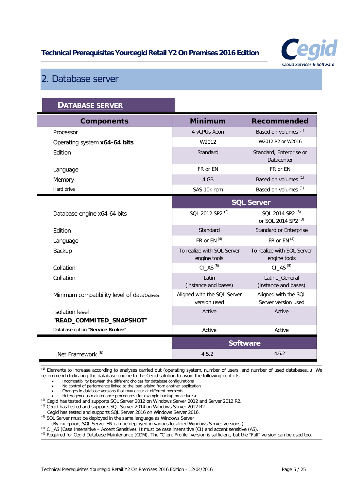

# <span id="page-4-0"></span>2. Database server

| <b>DATABASE SERVER</b>                   |                                             |                                                               |
|------------------------------------------|---------------------------------------------|---------------------------------------------------------------|
| <b>Components</b>                        | <b>Minimum</b>                              | <b>Recommended</b>                                            |
| Processor                                | 4 vCPUs Xeon                                | Based on volumes <sup>(1)</sup>                               |
| Operating system x64-64 bits             | W2012                                       | W2012 R2 or W2016                                             |
| Edition                                  | Standard                                    | Standard, Enterprise or<br>Datacenter                         |
| Language                                 | FR or EN                                    | FR or EN                                                      |
| Memory                                   | 4 GB                                        | Based on volumes <sup>(1)</sup>                               |
| Hard drive                               | SAS 10k rpm                                 | Based on volumes <sup>(1)</sup>                               |
|                                          | <b>SQL Server</b>                           |                                                               |
| Database engine x64-64 bits              | SQL 2012 SP2 <sup>(2)</sup>                 | SQL 2014 SP2 <sup>(3)</sup><br>or SQL 2014 SP2 <sup>(3)</sup> |
| Edition                                  | Standard                                    | Standard or Enterprise                                        |
| Language                                 | FR or $EN(4)$                               | FR or $EN(4)$                                                 |
| Backup                                   | To realize with SQL Server<br>engine tools  | To realize with SQL Server<br>engine tools                    |
| Collation                                | CI AS $(5)$                                 | $CI$ <sub><math>AS</math></sub> $(5)$                         |
| Collation                                | Latin<br>(instance and bases)               | Latin1_General<br>(instance and bases)                        |
| Minimum compatibility level of databases | Aligned with the SQL Server<br>version used | Aligned with the SQL<br>Server version used                   |
| <b>Isolation level</b>                   | Active                                      | Active                                                        |
| "READ_COMMITED_SNAPSHOT"                 |                                             |                                                               |
| Database option "Service Broker"         | Active                                      | Active                                                        |
|                                          | <b>Software</b>                             |                                                               |
| .Net Framework <sup>(6)</sup>            | 4.5.2                                       | 4.6.2                                                         |

(1) Elements to increase according to analyses carried out (operating system, number of users, and number of used databases…). We recommend dedicating the database engine to the Cegid solution to avoid the following conflicts:

• Incompatibility between the different choices for database configurations

• No control of performance linked to the load arising from another application

• Changes in database versions that may occur at different moments

• Heterogeneous maintenance procedures (for example backup procedures)<br><sup>(2)</sup> Cegid has tested and supports SQL Server 2012 on Windows Server 2012 and Server 2012 R2.

(3) Cegid has tested and supports SQL Server 2014 on Windows Server 2012 R2.

Cegid has tested and supports SQL Server 2016 on Windows Server 2016.

(4) SQL Server must be deployed in the same language as Windows Server

(By exception, SQL Server EN can be deployed in various localized Windows Server versions.)

(5) CI\_AS (Case Insensitive – Accent Sensitive). It must be case insensitive (CI) and accent sensitive (AS).

(6) Required for Cegid Database Maintenance (CDM). The "Client Profile" version is sufficient, but the "Full" version can be used too.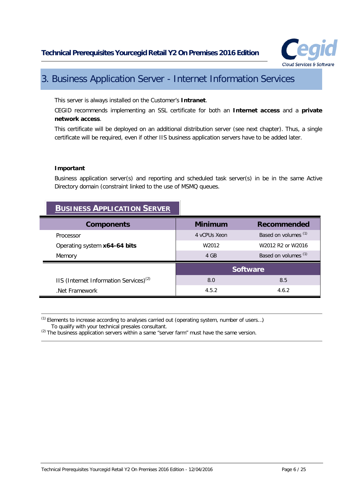

# <span id="page-5-0"></span>3. Business Application Server - Internet Information Services

This server is always installed on the Customer's **Intranet**.

CEGID recommends implementing an SSL certificate for both an **Internet access** and a **private network access**.

This certificate will be deployed on an additional distribution server (see next chapter). Thus, a single certificate will be required, even if other IIS business application servers have to be added later.

#### **Important**

 $=$ 

Business application server(s) and reporting and scheduled task server(s) in be in the same Active Directory domain (constraint linked to the use of MSMQ queues.

| <b>BUSINESS APPLICATION SERVER</b>                 |                   |                                 |
|----------------------------------------------------|-------------------|---------------------------------|
| <b>Components</b>                                  | <b>Minimum</b>    | <b>Recommended</b>              |
| Processor                                          | 4 yCPUs Xeon      | Based on volumes <sup>(1)</sup> |
| Operating system x64-64 bits                       | W <sub>2012</sub> | W2012 R2 or W2016               |
| Memory                                             | 4 GB              | Based on volumes <sup>(1)</sup> |
|                                                    | <b>Software</b>   |                                 |
| IIS (Internet Information Services) <sup>(2)</sup> | 8.0               | 8.5                             |
| Net Framework                                      | 4.5.2             | 4.6.2                           |

(1) Elements to increase according to analyses carried out (operating system, number of users…) To qualify with your technical presales consultant.

 $<sup>(2)</sup>$  The business application servers within a same "server farm" must have the same version.</sup>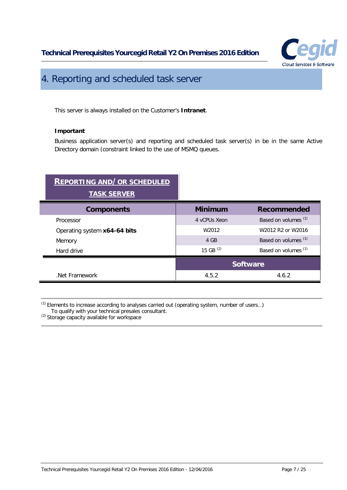

# <span id="page-6-0"></span>4. Reporting and scheduled task server

This server is always installed on the Customer's **Intranet**.

#### **Important**

Business application server(s) and reporting and scheduled task server(s) in be in the same Active Directory domain (constraint linked to the use of MSMQ queues.

# **REPORTING AND/OR SCHEDULED TASK SERVER**

| <b>Components</b>            | <b>Minimum</b>    | <b>Recommended</b>              |
|------------------------------|-------------------|---------------------------------|
| Processor                    | 4 vCPUs Xeon      | Based on volumes <sup>(1)</sup> |
| Operating system x64-64 bits | W <sub>2012</sub> | W2012 R2 or W2016               |
| Memory                       | 4 GB              | Based on volumes <sup>(1)</sup> |
| Hard drive                   | 15 GB $(2)$       | Based on volumes <sup>(1)</sup> |
|                              | <b>Software</b>   |                                 |
| Net Framework                | 4.5.2             | 4.6.2                           |

 $(1)$  Elements to increase according to analyses carried out (operating system, number of users...) To qualify with your technical presales consultant.

<sup>(2)</sup> Storage capacity available for workspace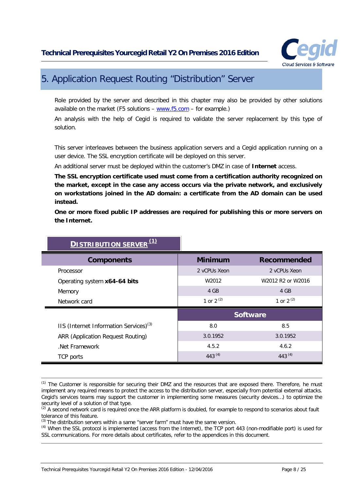

# <span id="page-7-0"></span>5. Application Request Routing "Distribution" Server

Role provided by the server and described in this chapter may also be provided by other solutions available on the market (F5 solutions  $-$  [www.f5.com](http://www.f5.com/)  $-$  for example.)

An analysis with the help of Cegid is required to validate the server replacement by this type of solution.

This server interleaves between the business application servers and a Cegid application running on a user device. The SSL encryption certificate will be deployed on this server.

An additional server must be deployed within the customer's DMZ in case of **Internet** access.

**The SSL encryption certificate used must come from a certification authority recognized on the market, except in the case any access occurs via the private network, and exclusively on workstations joined in the AD domain: a certificate from the AD domain can be used instead.**

**One or more fixed public IP addresses are required for publishing this or more servers on the Internet.**

| (1)<br><b>DISTRIBUTION SERVER</b>                  |                |                                 |
|----------------------------------------------------|----------------|---------------------------------|
| <b>Components</b>                                  | <b>Minimum</b> | Recommended                     |
| Processor                                          | 2 vCPUs Xeon   | 2 vCPUs Xeon                    |
| Operating system x64-64 bits                       | W2012          | W2012 R2 or W2016               |
| Memory                                             | 4 GB           | 4 GB                            |
| Network card                                       | 1 or $2^{(2)}$ | 1 or $2^{(2)}$                  |
|                                                    |                | <b>Software</b>                 |
| IIS (Internet Information Services) <sup>(3)</sup> | 8.0            | 8.5                             |
| <b>ARR (Application Request Routing)</b>           | 3.0.1952       | 3.0.1952                        |
| Net Framework                                      | 4.5.2          | 4.6.2                           |
|                                                    |                | 443 <sup><math>(4)</math></sup> |

 $<sup>(1)</sup>$  The Customer is responsible for securing their DMZ and the resources that are exposed there. Therefore, he must</sup> implement any required means to protect the access to the distribution server, especially from potential external attacks. Cegid's services teams may support the customer in implementing some measures (security devices…) to optimize the security level of a solution of that type.

<sup>&</sup>lt;sup>(2)</sup> A second network card is required once the ARR platform is doubled, for example to respond to scenarios about fault tolerance of this feature.

<sup>(3)</sup> The distribution servers within a same "server farm" must have the same version.

<sup>&</sup>lt;sup>(4)</sup> When the SSL protocol is implemented (access from the Internet), the TCP port 443 (non-modifiable port) is used for SSL communications. For more details about certificates, refer to the appendices in this document.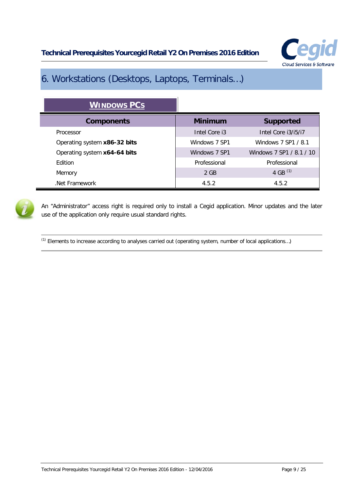

# <span id="page-8-0"></span>6. Workstations (Desktops, Laptops, Terminals…)

| <b>WINDOWS PCS</b>           |                |                          |
|------------------------------|----------------|--------------------------|
| <b>Components</b>            | <b>Minimum</b> | <b>Supported</b>         |
| Processor                    | Intel Core i3  | Intel Core i3/i5/i7      |
| Operating system x86-32 bits | Windows 7 SP1  | Windows 7 SP1 / 8.1      |
| Operating system x64-64 bits | Windows 7 SP1  | Windows 7 SP1 / 8.1 / 10 |
| <b>F</b> dition              | Professional   | Professional             |
| Memory                       | $2$ GB         | 4 GB $(1)$               |
| Net Framework                | 4.5.2          | 4.5.2                    |



An "Administrator" access right is required only to install a Cegid application. Minor updates and the later use of the application only require usual standard rights.

(1) Elements to increase according to analyses carried out (operating system, number of local applications…)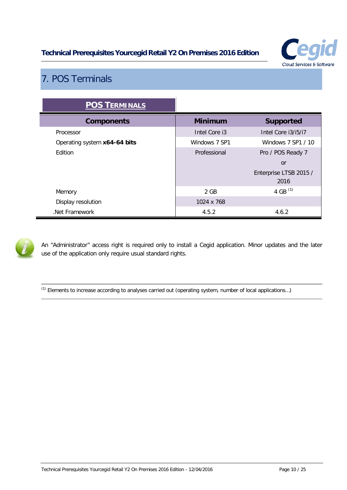

# <span id="page-9-0"></span>7. POS Terminals

| <b>POS TERMINALS</b>         |                |                                |
|------------------------------|----------------|--------------------------------|
| <b>Components</b>            | <b>Minimum</b> | <b>Supported</b>               |
| Processor                    | Intel Core i3  | Intel Core i3/i5/i7            |
| Operating system x64-64 bits | Windows 7 SP1  | Windows 7 SP1 / 10             |
| Edition                      | Professional   | Pro / POS Ready 7              |
|                              |                | or                             |
|                              |                | Enterprise LTSB 2015 /<br>2016 |
| Memory                       | 2 GB           | 4 GB $(1)$                     |
| Display resolution           | 1024 x 768     |                                |
| Net Framework                | 4.5.2          | 4.6.2                          |



An "Administrator" access right is required only to install a Cegid application. Minor updates and the later use of the application only require usual standard rights.

(1) Elements to increase according to analyses carried out (operating system, number of local applications…)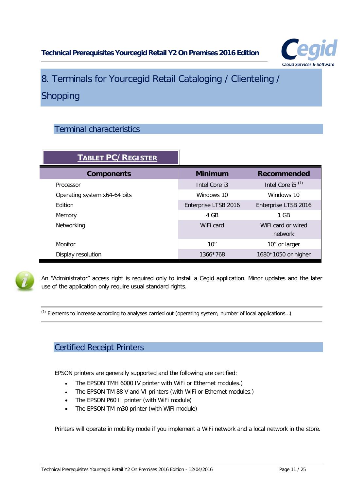

# <span id="page-10-0"></span>8. Terminals for Yourcegid Retail Cataloging / Clienteling / Shopping

# <span id="page-10-1"></span>Terminal characteristics

| <b>TABLET PC/REGISTER</b>    |                      |                               |
|------------------------------|----------------------|-------------------------------|
| <b>Components</b>            | <b>Minimum</b>       | <b>Recommended</b>            |
| Processor                    | Intel Core i3        | Intel Core i5 $(1)$           |
| Operating system x64-64 bits | Windows 10           | Windows 10                    |
| <b>F</b> dition              | Enterprise LTSB 2016 | Enterprise LTSB 2016          |
| Memory                       | 4 GB                 | 1 GB                          |
| Networking                   | WiFi card            | WiFi card or wired<br>network |
| Monitor                      | 10''                 | 10" or larger                 |
| Display resolution           | 1366*768             | 1680*1050 or higher           |



An "Administrator" access right is required only to install a Cegid application. Minor updates and the later use of the application only require usual standard rights.

<span id="page-10-2"></span>(1) Elements to increase according to analyses carried out (operating system, number of local applications…)

# Certified Receipt Printers

EPSON printers are generally supported and the following are certified:

- The EPSON TMH 6000 IV printer with WiFi or Ethernet modules.)
- The EPSON TM 88 V and VI printers (with WiFi or Ethernet modules.)
- The EPSON P60 II printer (with WiFi module)
- The EPSON TM-m30 printer (with WiFi module)

Printers will operate in mobility mode if you implement a WiFi network and a local network in the store.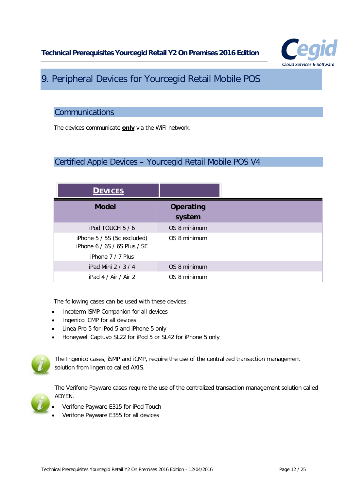

# <span id="page-11-0"></span>9. Peripheral Devices for Yourcegid Retail Mobile POS

#### <span id="page-11-1"></span>**Communications**

<span id="page-11-2"></span>The devices communicate **only** via the WiFi network.

### Certified Apple Devices – Yourcegid Retail Mobile POS V4

| <b>DEVICES</b>                                              |                            |
|-------------------------------------------------------------|----------------------------|
| <b>Model</b>                                                | <b>Operating</b><br>system |
| iPod TOUCH 5 / 6                                            | OS 8 minimum               |
| iPhone 5 / 5S (5c excluded)<br>iPhone 6 / 6S / 6S Plus / SE | OS 8 minimum               |
| iPhone $7/7$ Plus                                           |                            |
| iPad Mini 2 / 3 / 4                                         | OS 8 minimum               |
| iPad 4 / Air / Air 2                                        | OS 8 minimum               |

The following cases can be used with these devices:

- Incoterm iSMP Companion for all devices
- Ingenico iCMP for all devices
- Linea-Pro 5 for iPod 5 and iPhone 5 only
- Honeywell Captuvo SL22 for iPod 5 or SL42 for iPhone 5 only



The Ingenico cases, iSMP and iCMP, require the use of the centralized transaction management solution from Ingenico called AXIS.

The Verifone Payware cases require the use of the centralized transaction management solution called ADYEN.

- Verifone Payware E315 for iPod Touch
- Verifone Payware E355 for all devices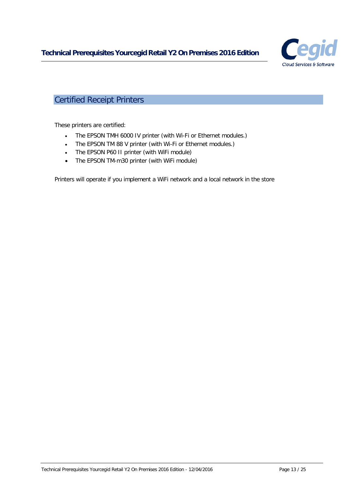

# <span id="page-12-0"></span>Certified Receipt Printers

These printers are certified:

- The EPSON TMH 6000 IV printer (with Wi-Fi or Ethernet modules.)
- The EPSON TM 88 V printer (with Wi-Fi or Ethernet modules.)
- The EPSON P60 II printer (with WiFi module)
- The EPSON TM-m30 printer (with WiFi module)

Printers will operate if you implement a WiFi network and a local network in the store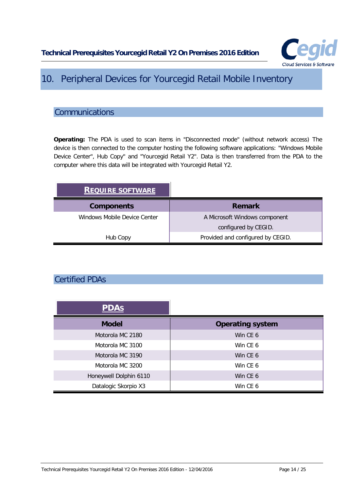

# <span id="page-13-0"></span>10. Peripheral Devices for Yourcegid Retail Mobile Inventory

### <span id="page-13-1"></span>**Communications**

**Operating:** The PDA is used to scan items in "Disconnected mode" (without network access) The device is then connected to the computer hosting the following software applications: "Windows Mobile Device Center", Hub Copy" and "Yourcegid Retail Y2". Data is then transferred from the PDA to the computer where this data will be integrated with Yourcegid Retail Y2.

| <b>REQUIRE SOFTWARE</b>      |                                   |
|------------------------------|-----------------------------------|
| <b>Components</b>            | <b>Remark</b>                     |
| Windows Mobile Device Center | A Microsoft Windows component     |
|                              | configured by CEGID.              |
| Hub Copy                     | Provided and configured by CEGID. |

# <span id="page-13-2"></span>Certified PDAs

| <b>PDAS</b>            |                         |
|------------------------|-------------------------|
| <b>Model</b>           | <b>Operating system</b> |
| Motorola MC 2180       | Win CE 6                |
| Motorola MC 3100       | Win CE 6                |
| Motorola MC 3190       | Win CE 6                |
| Motorola MC 3200       | Win CF 6                |
| Honeywell Dolphin 6110 | Win CE 6                |
| Datalogic Skorpio X3   | Win CE 6                |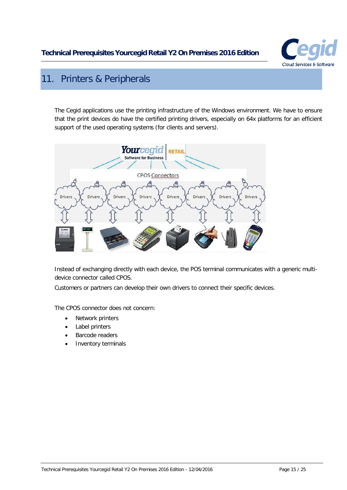

# <span id="page-14-0"></span>11. Printers & Peripherals

The Cegid applications use the printing infrastructure of the Windows environment. We have to ensure that the print devices do have the certified printing drivers, especially on 64x platforms for an efficient support of the used operating systems (for clients and servers).



Instead of exchanging directly with each device, the POS terminal communicates with a generic multidevice connector called CPOS.

Customers or partners can develop their own drivers to connect their specific devices.

The CPOS connector does not concern:

- Network printers
- Label printers
- Barcode readers
- Inventory terminals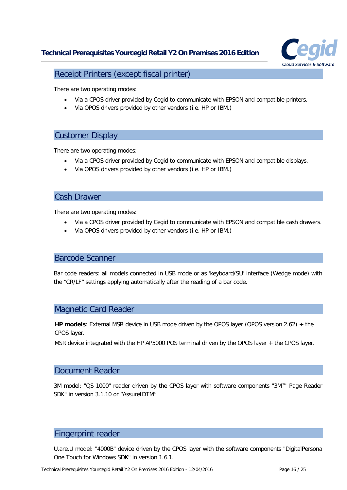

<span id="page-15-0"></span>Receipt Printers (except fiscal printer)

There are two operating modes:

- Via a CPOS driver provided by Cegid to communicate with EPSON and compatible printers.
- Via OPOS drivers provided by other vendors (i.e. HP or IBM.)

#### <span id="page-15-1"></span>Customer Display

There are two operating modes:

- Via a CPOS driver provided by Cegid to communicate with EPSON and compatible displays.
- Via OPOS drivers provided by other vendors (i.e. HP or IBM.)

#### <span id="page-15-2"></span>Cash Drawer

There are two operating modes:

- Via a CPOS driver provided by Cegid to communicate with EPSON and compatible cash drawers.
- Via OPOS drivers provided by other vendors (i.e. HP or IBM.)

#### <span id="page-15-3"></span>Barcode Scanner

<span id="page-15-4"></span>Bar code readers: all models connected in USB mode or as 'keyboard/SU' interface (Wedge mode) with the "CR/LF" settings applying automatically after the reading of a bar code.

#### Magnetic Card Reader

**HP models**: External MSR device in USB mode driven by the OPOS layer (OPOS version 2.62) + the CPOS layer.

<span id="page-15-5"></span>MSR device integrated with the HP AP5000 POS terminal driven by the OPOS layer + the CPOS layer.

#### Document Reader

3M model: "QS 1000" reader driven by the CPOS layer with software components "3M™ Page Reader SDK" in version 3.1.10 or "AssureIDTM".

#### <span id="page-15-6"></span>Fingerprint reader

U.are.U model: "4000B" device driven by the CPOS layer with the software components "DigitalPersona One Touch for Windows SDK" in version 1.6.1.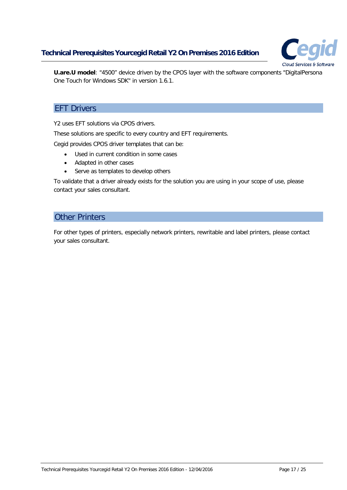

<span id="page-16-0"></span>**U.are.U model**: "4500" device driven by the CPOS layer with the software components "DigitalPersona One Touch for Windows SDK" in version 1.6.1.

#### **EFT Drivers**

Y2 uses EFT solutions via CPOS drivers.

These solutions are specific to every country and EFT requirements.

Cegid provides CPOS driver templates that can be:

- Used in current condition in some cases
- Adapted in other cases
- Serve as templates to develop others

<span id="page-16-1"></span>To validate that a driver already exists for the solution you are using in your scope of use, please contact your sales consultant.

#### Other Printers

For other types of printers, especially network printers, rewritable and label printers, please contact your sales consultant.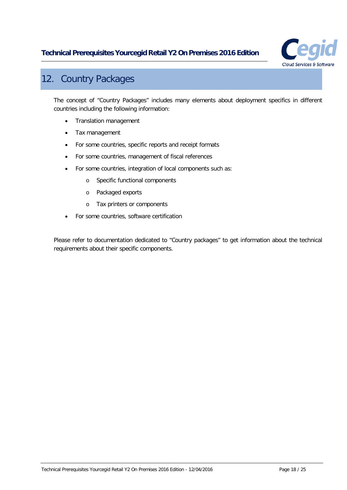

# <span id="page-17-0"></span>12. Country Packages

The concept of "Country Packages" includes many elements about deployment specifics in different countries including the following information:

- Translation management
- Tax management
- For some countries, specific reports and receipt formats
- For some countries, management of fiscal references
- For some countries, integration of local components such as:
	- o Specific functional components
	- o Packaged exports
	- o Tax printers or components
- For some countries, software certification

Please refer to documentation dedicated to "Country packages" to get information about the technical requirements about their specific components.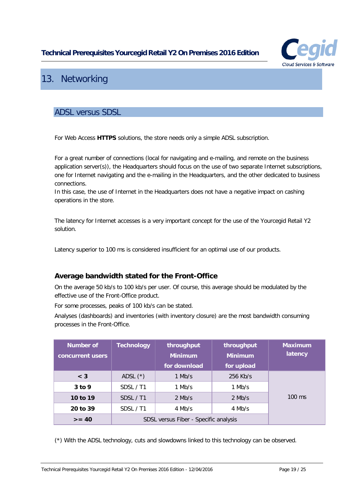

# <span id="page-18-0"></span>13. Networking

#### <span id="page-18-1"></span>ADSL versus SDSL

For Web Access **HTTPS** solutions, the store needs only a simple ADSL subscription.

For a great number of connections (local for navigating and e-mailing, and remote on the business application server(s)), the Headquarters should focus on the use of two separate Internet subscriptions, one for Internet navigating and the e-mailing in the Headquarters, and the other dedicated to business connections.

In this case, the use of Internet in the Headquarters does not have a negative impact on cashing operations in the store.

The latency for Internet accesses is a very important concept for the use of the Yourcegid Retail Y2 solution.

<span id="page-18-2"></span>Latency superior to 100 ms is considered insufficient for an optimal use of our products.

#### **Average bandwidth stated for the Front-Office**

On the average 50 kb/s to 100 kb/s per user. Of course, this average should be modulated by the effective use of the Front-Office product.

For some processes, peaks of 100 kb/s can be stated.

Analyses (dashboards) and inventories (with inventory closure) are the most bandwidth consuming processes in the Front-Office.

| <b>Number of</b><br>concurrent users | <b>Technology</b>                     | throughput<br><b>Minimum</b><br>for download | throughput<br><b>Minimum</b><br>for upload | <b>Maximum</b><br>latency |
|--------------------------------------|---------------------------------------|----------------------------------------------|--------------------------------------------|---------------------------|
| $<$ 3                                | ADSL $(*)$                            | $1$ Mb/s                                     | 256 Kb/s                                   |                           |
| $3$ to 9                             | SDSL / T1                             | 1 Mb/s                                       | $1$ Mb/s                                   |                           |
| 10 to 19                             | SDSL / T1                             | $2$ Mb/s                                     | $2$ Mb/s                                   | $100 \text{ ms}$          |
| 20 to 39                             | SDSL / T1                             | 4 Mb/s                                       | 4 Mb/s                                     |                           |
| $>= 40$                              | SDSL versus Fiber - Specific analysis |                                              |                                            |                           |

(\*) With the ADSL technology, cuts and slowdowns linked to this technology can be observed.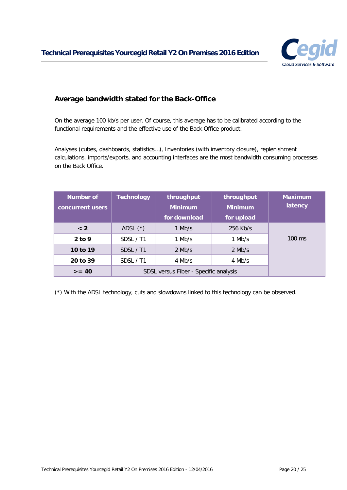

#### <span id="page-19-0"></span>**Average bandwidth stated for the Back-Office**

On the average 100 kb/s per user. Of course, this average has to be calibrated according to the functional requirements and the effective use of the Back Office product.

Analyses (cubes, dashboards, statistics…), Inventories (with inventory closure), replenishment calculations, imports/exports, and accounting interfaces are the most bandwidth consuming processes on the Back Office.

| <b>Number of</b><br>concurrent users | <b>Technology</b>                     | throughput<br><b>Minimum</b> | throughput<br><b>Minimum</b> | <b>Maximum</b><br>latency |
|--------------------------------------|---------------------------------------|------------------------------|------------------------------|---------------------------|
|                                      |                                       | for download                 | for upload                   |                           |
| < 2                                  | ADSL $(*)$                            | 1 Mb/s                       | $256$ Kb/s                   |                           |
| $2$ to 9                             | SDSL / T1                             | 1 Mb/s                       | $1$ Mb/s                     | $100 \text{ ms}$          |
| 10 to 19                             | SDSL / T1                             | $2$ Mb/s                     | $2$ Mb/s                     |                           |
| 20 to 39                             | SDSL / T1                             | 4 Mb/s                       | 4 Mb/s                       |                           |
| $>= 40$                              | SDSL versus Fiber - Specific analysis |                              |                              |                           |

(\*) With the ADSL technology, cuts and slowdowns linked to this technology can be observed.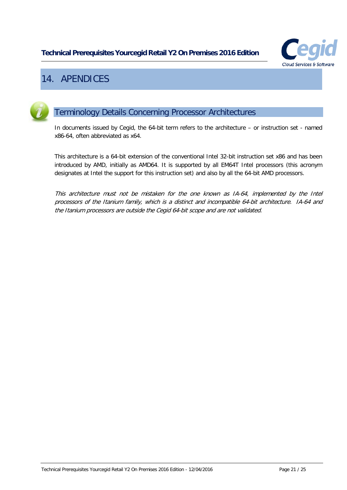

# <span id="page-20-0"></span>14. APENDICES

<span id="page-20-1"></span>

# Terminology Details Concerning Processor Architectures

In documents issued by Cegid, the 64-bit term refers to the architecture – or instruction set - named x86-64, often abbreviated as x64.

This architecture is a 64-bit extension of the conventional Intel 32-bit instruction set x86 and has been introduced by AMD, initially as AMD64. It is supported by all EM64T Intel processors (this acronym designates at Intel the support for this instruction set) and also by all the 64-bit AMD processors.

This architecture must not be mistaken for the one known as IA-64, implemented by the Intel processors of the Itanium family, which is a distinct and incompatible 64-bit architecture. IA-64 and the Itanium processors are outside the Cegid 64-bit scope and are not validated.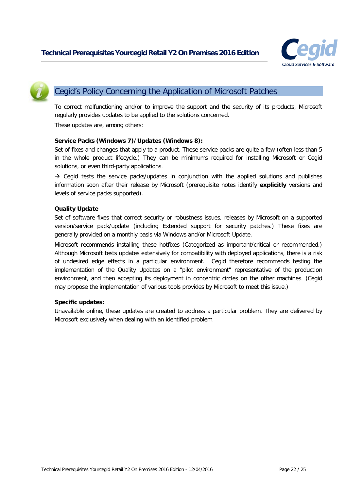

<span id="page-21-0"></span>

# Cegid's Policy Concerning the Application of Microsoft Patches

To correct malfunctioning and/or to improve the support and the security of its products, Microsoft regularly provides updates to be applied to the solutions concerned.

These updates are, among others:

#### **Service Packs (Windows 7)/Updates (Windows 8):**

Set of fixes and changes that apply to a product. These service packs are quite a few (often less than 5 in the whole product lifecycle.) They can be minimums required for installing Microsoft or Cegid solutions, or even third-party applications.

 $\rightarrow$  Cegid tests the service packs/updates in conjunction with the applied solutions and publishes information soon after their release by Microsoft (prerequisite notes identify **explicitly** versions and levels of service packs supported).

#### **Quality Update**

Set of software fixes that correct security or robustness issues, releases by Microsoft on a supported version/service pack/update (including Extended support for security patches.) These fixes are generally provided on a monthly basis via Windows and/or Microsoft Update.

Microsoft recommends installing these hotfixes (Categorized as important/critical or recommended.) Although Microsoft tests updates extensively for compatibility with deployed applications, there is a risk of undesired edge effects in a particular environment. Cegid therefore recommends testing the implementation of the Quality Updates on a "pilot environment" representative of the production environment, and then accepting its deployment in concentric circles on the other machines. (Cegid may propose the implementation of various tools provides by Microsoft to meet this issue.)

#### **Specific updates:**

Unavailable online, these updates are created to address a particular problem. They are delivered by Microsoft exclusively when dealing with an identified problem.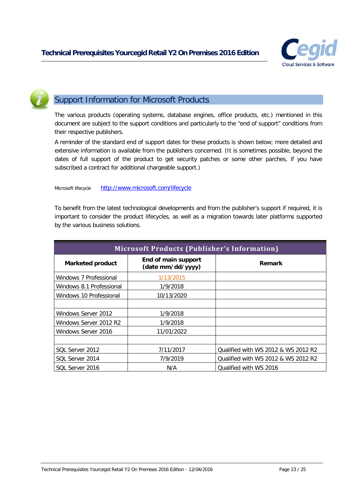

### <span id="page-22-0"></span>Support Information for Microsoft Products

The various products (operating systems, database engines, office products, etc.) mentioned in this document are subject to the support conditions and particularly to the "end of support" conditions from their respective publishers.

A reminder of the standard end of support dates for these products is shown below; more detailed and extensive information is available from the publishers concerned. (It is sometimes possible, beyond the dates of full support of the product to get security patches or some other parches, if you have subscribed a contract for additional chargeable support.)

Microsoft lifecycle <http://www.microsoft.com/lifecycle>

To benefit from the latest technological developments and from the publisher's support if required, it is important to consider the product lifecycles, as well as a migration towards later platforms supported by the various business solutions.

| <b>Microsoft Products (Publisher's Information)</b> |                                          |                                     |  |  |  |
|-----------------------------------------------------|------------------------------------------|-------------------------------------|--|--|--|
| <b>Marketed product</b>                             | End of main support<br>(date mm/dd/yyyy) | <b>Remark</b>                       |  |  |  |
| Windows 7 Professional                              | 1/13/2015                                |                                     |  |  |  |
| Windows 8.1 Professional                            | 1/9/2018                                 |                                     |  |  |  |
| Windows 10 Professional                             | 10/13/2020                               |                                     |  |  |  |
|                                                     |                                          |                                     |  |  |  |
| Windows Server 2012                                 | 1/9/2018                                 |                                     |  |  |  |
| Windows Server 2012 R2                              | 1/9/2018                                 |                                     |  |  |  |
| Windows Server 2016                                 | 11/01/2022                               |                                     |  |  |  |
|                                                     |                                          |                                     |  |  |  |
| SOL Server 2012                                     | 7/11/2017                                | Qualified with WS 2012 & WS 2012 R2 |  |  |  |
| SQL Server 2014                                     | 7/9/2019                                 | Qualified with WS 2012 & WS 2012 R2 |  |  |  |
| SOL Server 2016                                     | N/A                                      | Qualified with WS 2016              |  |  |  |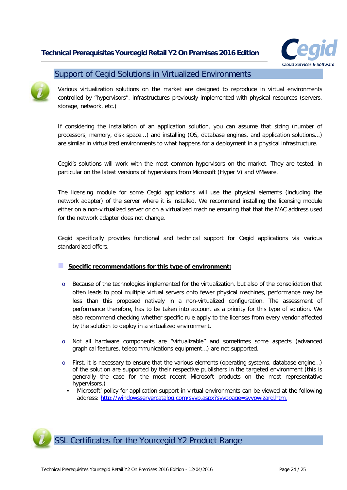

#### <span id="page-23-0"></span>Support of Cegid Solutions in Virtualized Environments

Various virtualization solutions on the market are designed to reproduce in virtual environments controlled by "hypervisors", infrastructures previously implemented with physical resources (servers, storage, network, etc.)

If considering the installation of an application solution, you can assume that sizing (number of processors, memory, disk space...) and installing (OS, database engines, and application solutions...) are similar in virtualized environments to what happens for a deployment in a physical infrastructure.

Cegid's solutions will work with the most common hypervisors on the market. They are tested, in particular on the latest versions of hypervisors from Microsoft (Hyper V) and VMware.

The licensing module for some Cegid applications will use the physical elements (including the network adapter) of the server where it is installed. We recommend installing the licensing module either on a non-virtualized server or on a virtualized machine ensuring that that the MAC address used for the network adapter does not change.

Cegid specifically provides functional and technical support for Cegid applications via various standardized offers.

#### **Specific recommendations for this type of environment:**

- o Because of the technologies implemented for the virtualization, but also of the consolidation that often leads to pool multiple virtual servers onto fewer physical machines, performance may be less than this proposed natively in a non-virtualized configuration. The assessment of performance therefore, has to be taken into account as a priority for this type of solution. We also recommend checking whether specific rule apply to the licenses from every vendor affected by the solution to deploy in a virtualized environment.
- o Not all hardware components are "virtualizable" and sometimes some aspects (advanced graphical features, telecommunications equipment…) are not supported.
- o First, it is necessary to ensure that the various elements (operating systems, database engine…) of the solution are supported by their respective publishers in the targeted environment (this is generally the case for the most recent Microsoft products on the most representative hypervisors.)
	- Microsoft' policy for application support in virtual environments can be viewed at the following address: [http://windowsservercatalog.com/svvp.aspx?svvppage=svvpwizard.htm.](http://windowsservercatalog.com/svvp.aspx?svvppage=svvpwizard.htm)

<span id="page-23-1"></span>